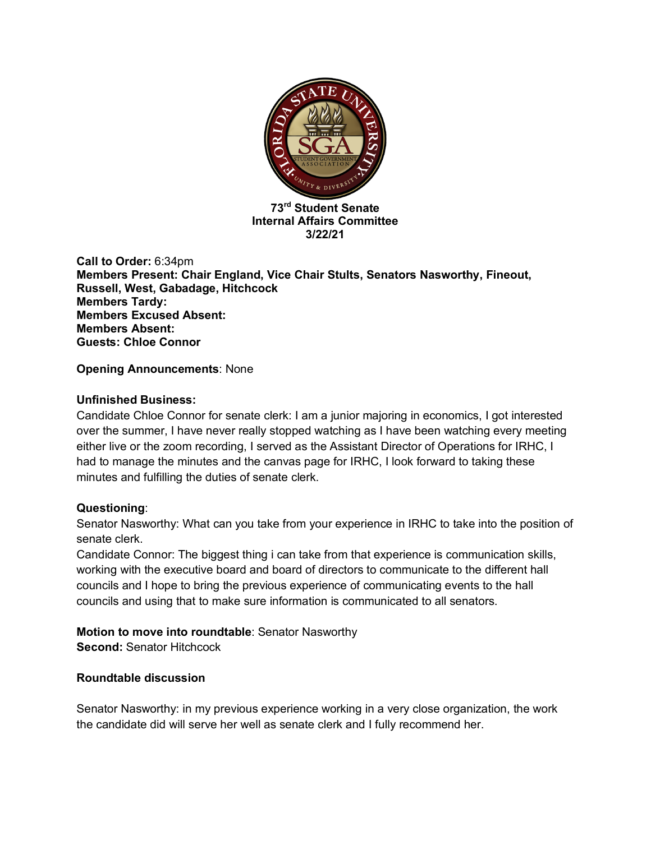

**73rd Student Senate Internal Affairs Committee 3/22/21**

**Call to Order:** 6:34pm **Members Present: Chair England, Vice Chair Stults, Senators Nasworthy, Fineout, Russell, West, Gabadage, Hitchcock Members Tardy: Members Excused Absent: Members Absent: Guests: Chloe Connor**

# **Opening Announcements**: None

## **Unfinished Business:**

Candidate Chloe Connor for senate clerk: I am a junior majoring in economics, I got interested over the summer, I have never really stopped watching as I have been watching every meeting either live or the zoom recording, I served as the Assistant Director of Operations for IRHC, I had to manage the minutes and the canvas page for IRHC, I look forward to taking these minutes and fulfilling the duties of senate clerk.

### **Questioning**:

Senator Nasworthy: What can you take from your experience in IRHC to take into the position of senate clerk.

Candidate Connor: The biggest thing i can take from that experience is communication skills, working with the executive board and board of directors to communicate to the different hall councils and I hope to bring the previous experience of communicating events to the hall councils and using that to make sure information is communicated to all senators.

# **Motion to move into roundtable**: Senator Nasworthy

**Second: Senator Hitchcock** 

# **Roundtable discussion**

Senator Nasworthy: in my previous experience working in a very close organization, the work the candidate did will serve her well as senate clerk and I fully recommend her.